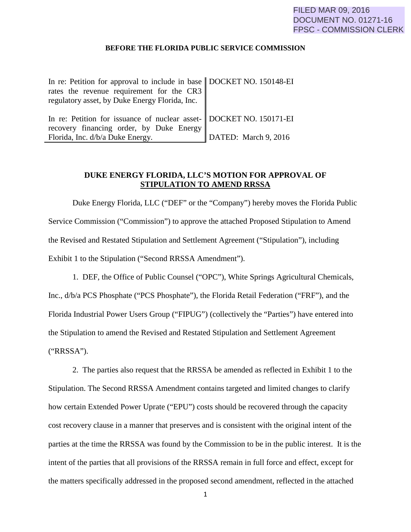#### **BEFORE THE FLORIDA PUBLIC SERVICE COMMISSION**

| In re: Petition for approval to include in base   DOCKET NO. 150148-EI |                      |
|------------------------------------------------------------------------|----------------------|
| rates the revenue requirement for the CR3                              |                      |
| regulatory asset, by Duke Energy Florida, Inc.                         |                      |
|                                                                        |                      |
| In re: Petition for issuance of nuclear asset- DOCKET NO. 150171-EI    |                      |
| recovery financing order, by Duke Energy                               |                      |
| Florida, Inc. d/b/a Duke Energy.                                       | DATED: March 9, 2016 |

## **DUKE ENERGY FLORIDA, LLC'S MOTION FOR APPROVAL OF STIPULATION TO AMEND RRSSA**

Duke Energy Florida, LLC ("DEF" or the "Company") hereby moves the Florida Public Service Commission ("Commission") to approve the attached Proposed Stipulation to Amend the Revised and Restated Stipulation and Settlement Agreement ("Stipulation"), including Exhibit 1 to the Stipulation ("Second RRSSA Amendment").

1. DEF, the Office of Public Counsel ("OPC"), White Springs Agricultural Chemicals, Inc., d/b/a PCS Phosphate ("PCS Phosphate"), the Florida Retail Federation ("FRF"), and the Florida Industrial Power Users Group ("FIPUG") (collectively the "Parties") have entered into the Stipulation to amend the Revised and Restated Stipulation and Settlement Agreement ("RRSSA").

2. The parties also request that the RRSSA be amended as reflected in Exhibit 1 to the Stipulation. The Second RRSSA Amendment contains targeted and limited changes to clarify how certain Extended Power Uprate ("EPU") costs should be recovered through the capacity cost recovery clause in a manner that preserves and is consistent with the original intent of the parties at the time the RRSSA was found by the Commission to be in the public interest. It is the intent of the parties that all provisions of the RRSSA remain in full force and effect, except for the matters specifically addressed in the proposed second amendment, reflected in the attached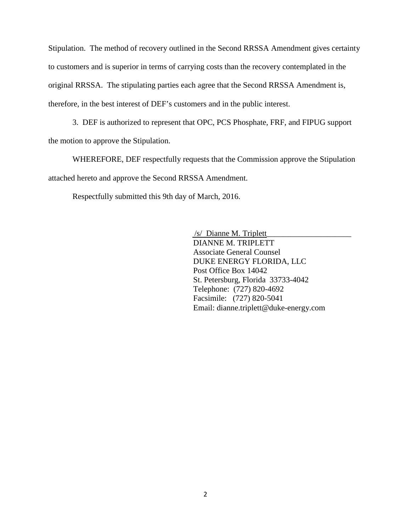Stipulation. The method of recovery outlined in the Second RRSSA Amendment gives certainty to customers and is superior in terms of carrying costs than the recovery contemplated in the original RRSSA. The stipulating parties each agree that the Second RRSSA Amendment is, therefore, in the best interest of DEF's customers and in the public interest.

3. DEF is authorized to represent that OPC, PCS Phosphate, FRF, and FIPUG support the motion to approve the Stipulation.

WHEREFORE, DEF respectfully requests that the Commission approve the Stipulation attached hereto and approve the Second RRSSA Amendment.

Respectfully submitted this 9th day of March, 2016.

 /s/ Dianne M. Triplett\_\_\_\_\_\_\_\_\_\_\_\_\_\_\_\_\_\_\_\_\_ DIANNE M. TRIPLETT Associate General Counsel DUKE ENERGY FLORIDA, LLC Post Office Box 14042 St. Petersburg, Florida 33733-4042 Telephone: (727) 820-4692 Facsimile: (727) 820-5041 Email: dianne.triplett@duke-energy.com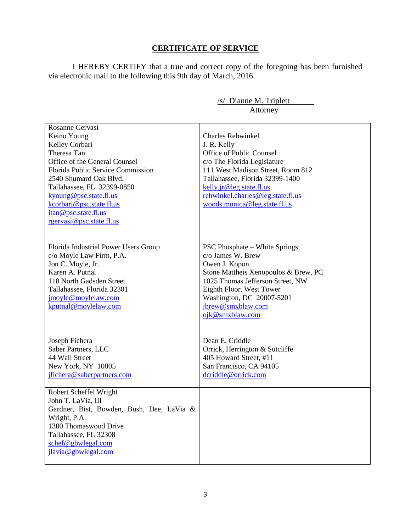# **CERTIFICATE OF SERVICE**

I HEREBY CERTIFY that a true and correct copy of the foregoing has been furnished via electronic mail to the following this 9th day of March, 2016.

| /s/ Dianne M. Triplett                                                                                                                                                                                                                                                                                  |                                                                                                                                                                                                                                                                      |
|---------------------------------------------------------------------------------------------------------------------------------------------------------------------------------------------------------------------------------------------------------------------------------------------------------|----------------------------------------------------------------------------------------------------------------------------------------------------------------------------------------------------------------------------------------------------------------------|
| Attorney                                                                                                                                                                                                                                                                                                |                                                                                                                                                                                                                                                                      |
| Rosanne Gervasi<br>Keino Young<br>Kelley Corbari<br>Theresa Tan<br>Office of the General Counsel<br>Florida Public Service Commission<br>2540 Shumard Oak Blvd.<br>Tallahassee, FL 32399-0850<br>kyoung@psc.state.fl.us<br>kcorbari@psc.state.fl.us<br>ltan@psc.state.fl.us<br>rgervasi@psc.state.fl.us | Charles Rehwinkel<br>J. R. Kelly<br>Office of Public Counsel<br>c/o The Florida Legislature<br>111 West Madison Street, Room 812<br>Tallahassee, Florida 32399-1400<br>kelly.jr@leg.state.fl.us<br>rehwinkel.charles@leg.state.fl.us<br>woods.monica@leg.state.fl.us |
| Florida Industrial Power Users Group<br>c/o Moyle Law Firm, P.A.<br>Jon C. Moyle, Jr.<br>Karen A. Putnal<br>118 North Gadsden Street<br>Tallahassee, Florida 32301<br>jmoyle@moylelaw.com<br>kputnal@moylelaw.com                                                                                       | <b>PSC Phosphate – White Springs</b><br>c/o James W. Brew<br>Owen J. Kopon<br>Stone Mattheis Xenopoulos & Brew, PC<br>1025 Thomas Jefferson Street, NW<br>Eighth Floor, West Tower<br>Washington, DC 20007-5201<br>jbrew@smxblaw.com<br>ojk@smxblaw.com              |
| Joseph Fichera<br>Saber Partners, LLC<br>44 Wall Street<br>New York, NY 10005<br>jfichera@saberpartners.com                                                                                                                                                                                             | Dean E. Criddle<br>Orrick, Herrington & Sutcliffe<br>405 Howard Street, #11<br>San Francisco, CA 94105<br>dcriddle@orrick.com                                                                                                                                        |
| Robert Scheffel Wright<br>John T. LaVia, III<br>Gardner, Bist, Bowden, Bush, Dee, LaVia &<br>Wright, P.A.<br>1300 Thomaswood Drive<br>Tallahassee, FL 32308<br>schef@gbwlegal.com<br>jlavia@gbwlegal.com                                                                                                |                                                                                                                                                                                                                                                                      |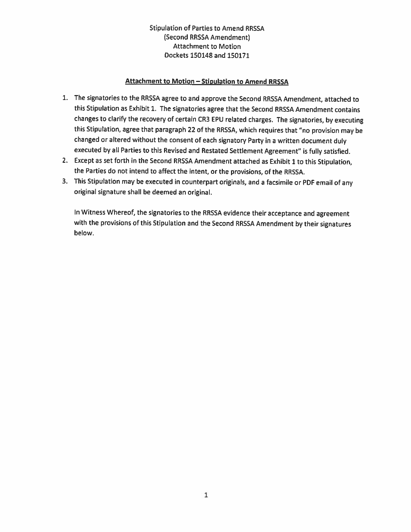### Attachment to Motion-Stipulation to Amend RRSSA

- 1. The signatories to the RRSSA agree to and approve the Second RRSSA Amendment, attached to this Stipulation as Exhibit 1. The signatories agree that the Second RRSSA Amendment contains changes to clarify the recovery of certain CR3 EPU related charges. The signatories, by executing this Stipulation, agree that paragraph 22 of the RRSSA, which requires that "no provision may be changed or altered without the consent of each signatory Party in a written document duly executed by all Parties to this Revised and Restated Settlement Agreement'' is fully satisfied.
- 2. Except as set forth in the Second RRSSA Amendment attached as Exhibit 1 to this Stipulation, the Parties do not intend to affect the intent, or the provisions, of the RRSSA.
- 3. This Stipulation may be executed in counterpart originals, and a facsimile or PDF email of any original signature shall be deemed an original.

In Witness Whereof, the signatories to the RRSSA evidence their acceptance and agreement with the provisions of this Stipulation and the Second RRSSA Amendment by their signatures below.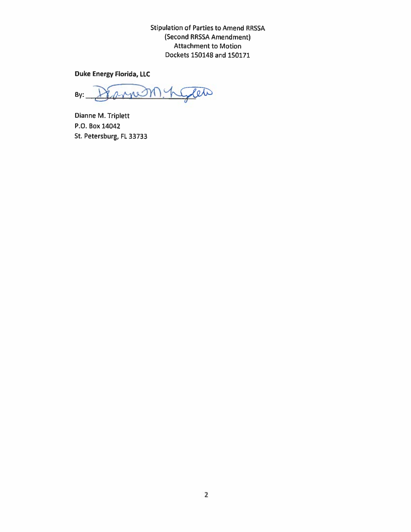Duke Energy Florida, LLC

Sleto 2 rue M)  $By:$ 

Dianne M. Triplett P.O. Box 14042 St. Petersburg, FL 33733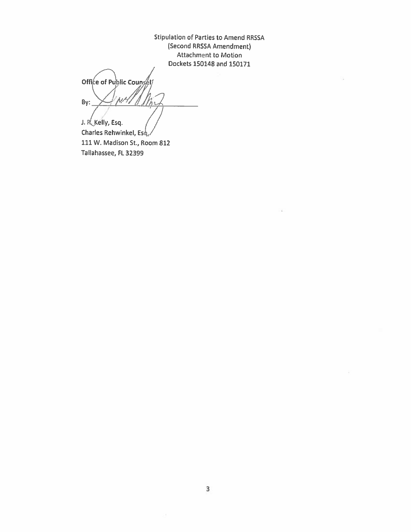Office of Public Counse hit By: 7kis J. R. Kelly, Esq.

Charles Rehwinkel, Esq. 111 W. Madison St., Room 812 Tallahassee, FL 32399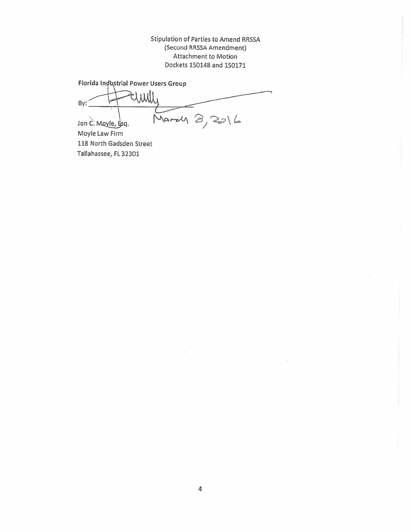Florida Industrial Power Users Group

lluus By:  $I$ on C. Mayle,  $Bsq.$  March  $B, 2016$ 

Moyle Law Firm 118 North Gadsden Street Tallahassee, FL 32301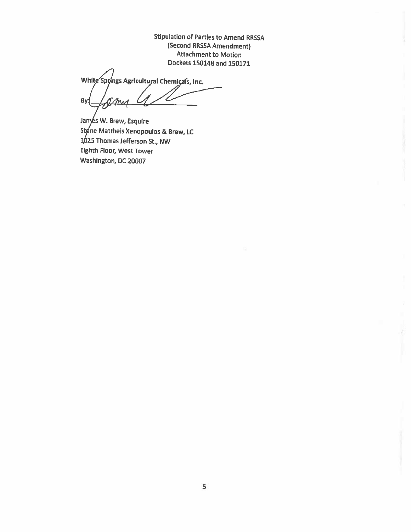Stipulation of Parties to Amend RRSSA (Second RRSSA Amendment) Attachment to Motion

Dockets 150148 and 150171<br>White Spyings Agricultural Chemicals, Inc. By:

Jamés W. Brew, Esquire Stone Mattheis Xenopoulos & Brew, LC 25 Thomas Jefferson St., NW Eighth Floor, West Tower Washington, DC 20007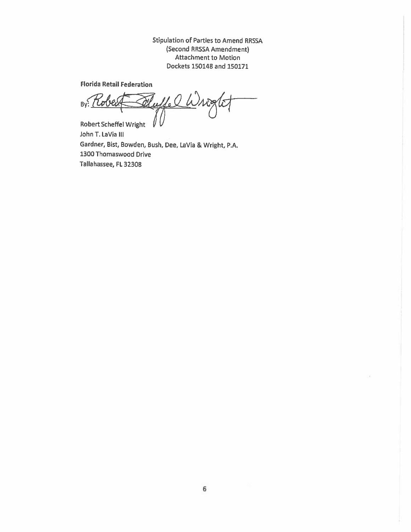Florida Retail Federation

 $Bv^2$ Robert Scheffel Wright

John T. laVia Ill Gardner, Bist, Bowden, Bush, Dee, LaVia & Wright, P.A. 1300 Thomaswood Drive Tallahassee, FL 32308